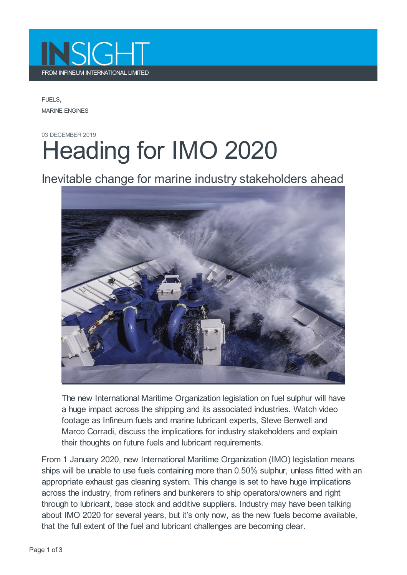

FUELS, MARINE ENGINES

## 03 DECEMBER 2019 Heading for IMO 2020

Inevitable change for marine industry stakeholders ahead



The new International Maritime Organization legislation on fuel sulphur will have a huge impact across the shipping and its associated industries. Watch video footage as Infineum fuels and marine lubricant experts, Steve Benwell and Marco Corradi, discuss the implications for industry stakeholders and explain their thoughts on future fuels and lubricant requirements.

From 1 January 2020, new International Maritime Organization (IMO) legislation means ships will be unable to use fuels containing more than 0.50% sulphur, unless fitted with an appropriate exhaust gas cleaning system. This change is set to have huge implications across the industry, from refiners and bunkerers to ship operators/owners and right through to lubricant, base stock and additive suppliers. Industry may have been talking about IMO 2020 for several years, but it's only now, as the new fuels become available, that the full extent of the fuel and lubricant challenges are becoming clear.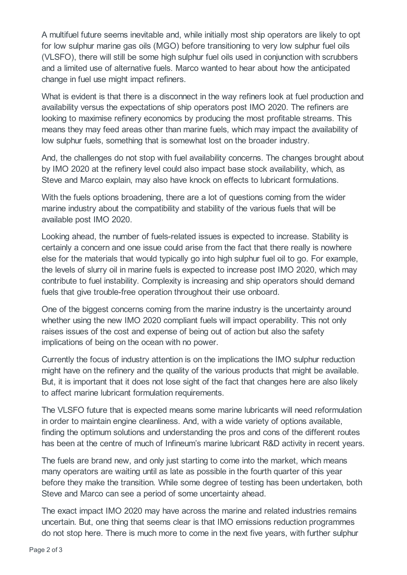A multifuel future seems inevitable and, while initially most ship operators are likely to opt for low sulphur marine gas oils (MGO) before transitioning to very low sulphur fuel oils (VLSFO), there will still be some high sulphur fuel oils used in conjunction with scrubbers and a limited use of alternative fuels. Marco wanted to hear about how the anticipated change in fuel use might impact refiners.

What is evident is that there is a disconnect in the way refiners look at fuel production and availability versus the expectations of ship operators post IMO 2020. The refiners are looking to maximise refinery economics by producing the most profitable streams. This means they may feed areas other than marine fuels, which may impact the availability of low sulphur fuels, something that is somewhat lost on the broader industry.

And, the challenges do not stop with fuel availability concerns. The changes brought about by IMO 2020 at the refinery level could also impact base stock availability, which, as Steve and Marco explain, may also have knock on effects to lubricant formulations.

With the fuels options broadening, there are a lot of questions coming from the wider marine industry about the compatibility and stability of the various fuels that will be available post IMO 2020.

Looking ahead, the number of fuels-related issues is expected to increase. Stability is certainly a concern and one issue could arise from the fact that there really is nowhere else for the materials that would typically go into high sulphur fuel oil to go. For example, the levels of slurry oil in marine fuels is expected to increase post IMO 2020, which may contribute to fuel instability. Complexity is increasing and ship operators should demand fuels that give trouble-free operation throughout their use onboard.

One of the biggest concerns coming from the marine industry is the uncertainty around whether using the new IMO 2020 compliant fuels will impact operability. This not only raises issues of the cost and expense of being out of action but also the safety implications of being on the ocean with no power.

Currently the focus of industry attention is on the implications the IMO sulphur reduction might have on the refinery and the quality of the various products that might be available. But, it is important that it does not lose sight of the fact that changes here are also likely to affect marine lubricant formulation requirements.

The VLSFO future that is expected means some marine lubricants will need reformulation in order to maintain engine cleanliness. And, with a wide variety of options available, finding the optimum solutions and understanding the pros and cons of the different routes has been at the centre of much of Infineum's marine lubricant R&D activity in recent years.

The fuels are brand new, and only just starting to come into the market, which means many operators are waiting until as late as possible in the fourth quarter of this year before they make the transition. While some degree of testing has been undertaken, both Steve and Marco can see a period of some uncertainty ahead.

The exact impact IMO 2020 may have across the marine and related industries remains uncertain. But, one thing that seems clear is that IMO emissions reduction programmes do not stop here. There is much more to come in the next five years, with further sulphur